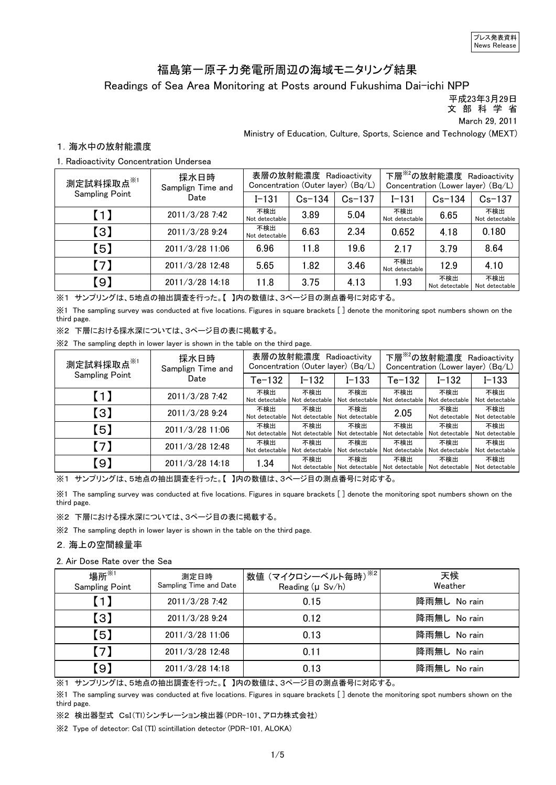### Readings of Sea Area Monitoring at Posts around Fukushima Dai-ichi NPP 福島第一原子力発電所周辺の海域モニタリング結果

平成23年3月29日

文 部 科 学 省

March 29, 2011

Ministry of Education, Culture, Sports, Science and Technology (MEXT)

#### 1.海水中の放射能濃度

#### 1. Radioactivity Concentration Undersea

| 測定試料採取点 <sup>※1</sup> | 採水日時<br>Samplign Time and | 表層の放射能濃度 Radioactivity<br>Concentration (Outer layer) (Bq/L) |            |            | 下層 <sup>※2</sup> の放射能濃度 Radioactivity<br>Concentration (Lower layer) (Bq/L) |                       |                       |
|-----------------------|---------------------------|--------------------------------------------------------------|------------|------------|-----------------------------------------------------------------------------|-----------------------|-----------------------|
| <b>Sampling Point</b> | Date                      | $I - 131$                                                    | $Cs - 134$ | $Cs - 137$ | $I - 131$                                                                   | $Cs - 134$            | $Cs - 137$            |
| $\blacksquare$        | 2011/3/28 7:42            | 不検出<br>Not detectable                                        | 3.89       | 5.04       | 不検出<br>Not detectable                                                       | 6.65                  | 不検出<br>Not detectable |
| $\left[3\right]$      | 2011/3/28 9:24            | 不検出<br>Not detectable                                        | 6.63       | 2.34       | 0.652                                                                       | 4.18                  | 0.180                 |
| $\left[ 5\right]$     | 2011/3/28 11:06           | 6.96                                                         | 11.8       | 19.6       | 2 1 7                                                                       | 3.79                  | 8.64                  |
| $\lceil 7 \rceil$     | 2011/3/28 12:48           | 5.65                                                         | 1.82       | 3.46       | 不検出<br>Not detectable                                                       | 12.9                  | 4 1 0                 |
| 【9】                   | 2011/3/28 14:18           | 11.8                                                         | 3.75       | 4.13       | 1.93                                                                        | 不検出<br>Not detectable | 不検出<br>Not detectable |

※1 サンプリングは、5地点の抽出調査を行った。【 】内の数値は、3ページ目の測点番号に対応する。

※1 The sampling survey was conducted at five locations. Figures in square brackets [ ] denote the monitoring spot numbers shown on the third page.

※2 下層における採水深については、3ページ目の表に掲載する。

※2 The sampling depth in lower layer is shown in the table on the third page.

| 測定試料採取点 <sup>※1</sup> | 採水日時<br>Samplign Time and | 表層の放射能濃度 Radioactivity<br>Concentration (Outer layer) (Bq/L) |                       |                                                     | 下層 <sup>※2</sup> の放射能濃度 Radioactivity<br>Concentration (Lower layer) (Bq/L) |                       |                       |
|-----------------------|---------------------------|--------------------------------------------------------------|-----------------------|-----------------------------------------------------|-----------------------------------------------------------------------------|-----------------------|-----------------------|
| <b>Sampling Point</b> | Date                      | $Te-132$                                                     | $I - 132$             | $I - 133$                                           | Te-132                                                                      | I-132                 | $I - 133$             |
| $\blacksquare$        | 2011/3/28 7:42            | 不検出<br>Not detectable                                        | 不検出<br>Not detectable | 不検出<br>Not detectable                               | 不検出<br>Not detectable                                                       | 不検出<br>Not detectable | 不検出<br>Not detectable |
| $\left( 3\right)$     | 2011/3/28 9:24            | 不検出<br>Not detectable                                        | 不検出<br>Not detectable | 不検出<br>Not detectable                               | 2.05                                                                        | 不検出<br>Not detectable | 不検出<br>Not detectable |
| (5)                   | 2011/3/28 11:06           | 不検出<br>Not detectable                                        | 不検出<br>Not detectable | 不検出<br>Not detectable                               | 不検出<br>Not detectable                                                       | 不検出<br>Not detectable | 不検出<br>Not detectable |
| $\lceil 7 \rceil$     | 2011/3/28 12:48           | 不検出<br>Not detectable                                        | 不検出<br>Not detectable | 不検出<br>Not detectable                               | 不検出<br>Not detectable                                                       | 不検出<br>Not detectable | 不検出<br>Not detectable |
| (9)                   | 2011/3/28 14:18           | 1.34                                                         | 不検出                   | 不検出<br>Not detectable Not detectable Not detectable | 不検出                                                                         | 不検出<br>Not detectable | 不検出<br>Not detectable |

※1 サンプリングは、5地点の抽出調査を行った。【 】内の数値は、3ページ目の測点番号に対応する。

※1 The sampling survey was conducted at five locations. Figures in square brackets [ ] denote the monitoring spot numbers shown on the third page.

#### ※2 下層における採水深については、3ページ目の表に掲載する。

※2 The sampling depth in lower layer is shown in the table on the third page.

#### 2.海上の空間線量率

#### 2. Air Dose Rate over the Sea

| 場所 ${{}^{\times}}$<br><b>Sampling Point</b> | 測定日時<br>Sampling Time and Date | <sup>'</sup> 数値 (マイクロシーベルト毎時) <sup>※2  </sup><br>Reading $(\mu Sv/h)$ | 天候<br>Weather |
|---------------------------------------------|--------------------------------|-----------------------------------------------------------------------|---------------|
| (1)                                         | 2011/3/28 7:42                 | 0.15                                                                  | 降雨無し No rain  |
| 【3】                                         | 2011/3/28 9:24                 | 0.12                                                                  | 降雨無し No rain  |
| 【5】                                         | 2011/3/28 11:06                | 0.13                                                                  | 降雨無し No rain  |
| 【7】                                         | 2011/3/28 12:48                | 0.11                                                                  | 降雨無し No rain  |
| (9)                                         | 2011/3/28 14:18                | 0.13                                                                  | 降雨無し No rain  |

※1 サンプリングは、5地点の抽出調査を行った。【 】内の数値は、3ページ目の測点番号に対応する。

※1 The sampling survey was conducted at five locations. Figures in square brackets [ ] denote the monitoring spot numbers shown on the third page.

※2 検出器型式 CsI(Tl)シンチレーション検出器(PDR-101、アロカ株式会社)

※2 Type of detector: CsI (TI) scintillation detector (PDR-101, ALOKA)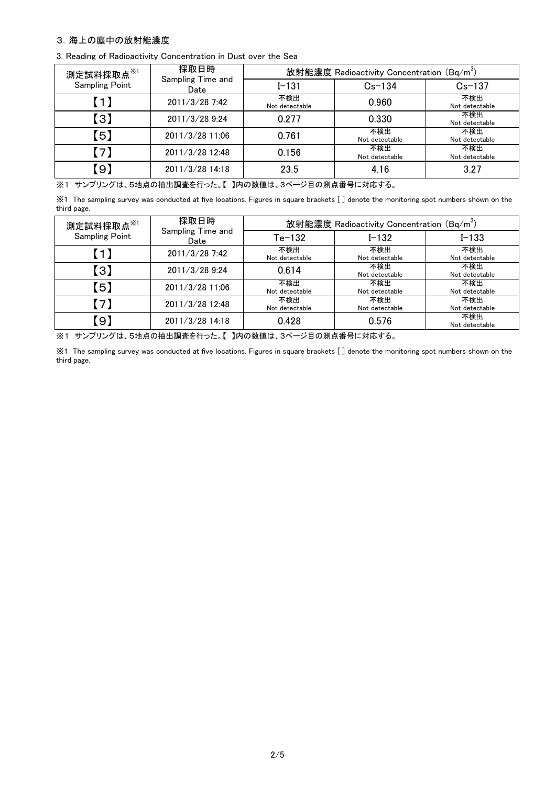#### 3.海上の塵中の放射能濃度

|  |  |  |  |  | 3. Reading of Radioactivity Concentration in Dust over the Sea |  |  |  |  |
|--|--|--|--|--|----------------------------------------------------------------|--|--|--|--|
|--|--|--|--|--|----------------------------------------------------------------|--|--|--|--|

| 測定試料採取点※1                                                | 採取日時                      | 放射能濃度 Radioactivity Concentration (Bq/m <sup>3</sup> ) |                       |                       |  |  |
|----------------------------------------------------------|---------------------------|--------------------------------------------------------|-----------------------|-----------------------|--|--|
| <b>Sampling Point</b>                                    | Sampling Time and<br>Date | $I - 131$                                              | $Cs - 134$            | $Cs-137$              |  |  |
| 0                                                        | 2011/3/28 7:42            | 不検出<br>Not detectable                                  | 0.960                 | 不検出<br>Not detectable |  |  |
| $\left[ \begin{smallmatrix} 3 \end{smallmatrix} \right]$ | 2011/3/28 9:24            | 0.277                                                  | 0.330                 | 不検出<br>Not detectable |  |  |
| $\overline{.5}$                                          | 2011/3/28 11:06           | 0.761                                                  | 不検出<br>Not detectable | 不検出<br>Not detectable |  |  |
| 71                                                       | 2011/3/28 12:48           | 0.156                                                  | 不検出<br>Not detectable | 不検出<br>Not detectable |  |  |
| $\left(9\right)$                                         | 2011/3/28 14:18           | 23.5                                                   | 4.16                  | 3.27                  |  |  |

※1 サンプリングは、5地点の抽出調査を行った。【 】内の数値は、3ページ目の測点番号に対応する。

※1 The sampling survey was conducted at five locations. Figures in square brackets [ ] denote the monitoring spot numbers shown on the third page.

| 測定試料採取点※1             | 採取日時                      | 放射能濃度 Radioactivity Concentration (Bq/m <sup>3</sup> ) |                       |                       |  |  |
|-----------------------|---------------------------|--------------------------------------------------------|-----------------------|-----------------------|--|--|
| <b>Sampling Point</b> | Sampling Time and<br>Date | $Te-132$                                               | $I - 132$             | $I - 133$             |  |  |
| 0                     | 2011/3/28 7:42            | 不検出<br>Not detectable                                  | 不検出<br>Not detectable | 不検出<br>Not detectable |  |  |
| 【3】                   | 2011/3/28 9:24            | 0.614                                                  | 不検出<br>Not detectable | 不検出<br>Not detectable |  |  |
| 6                     | 2011/3/28 11:06           | 不検出<br>Not detectable                                  | 不検出<br>Not detectable | 不検出<br>Not detectable |  |  |
| (7)                   | 2011/3/28 12:48           | 不検出<br>Not detectable                                  | 不検出<br>Not detectable | 不検出<br>Not detectable |  |  |
| .9)                   | 2011/3/28 14:18           | 0.428                                                  | 0.576                 | 不検出<br>Not detectable |  |  |

※1 サンプリングは、5地点の抽出調査を行った。【 】内の数値は、3ページ目の測点番号に対応する。

※1 The sampling survey was conducted at five locations. Figures in square brackets [ ] denote the monitoring spot numbers shown on the third page.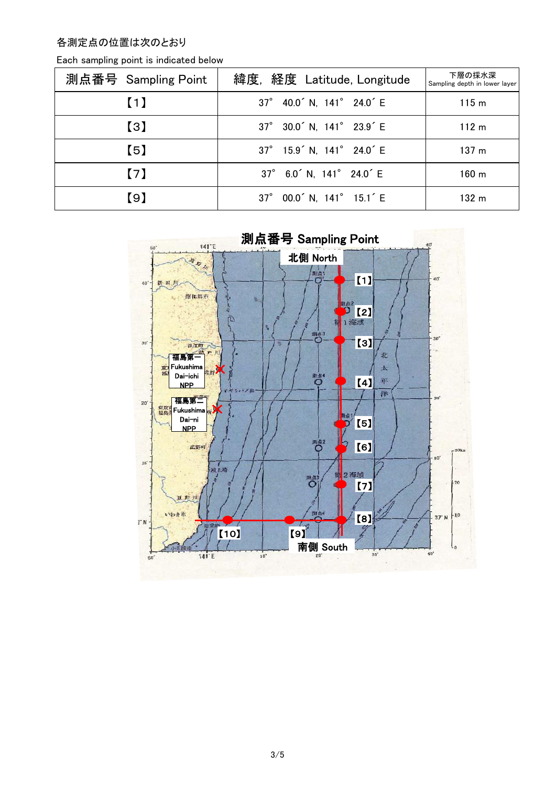各測定点の位置は次のとおり

| 測点番号 Sampling Point | 緯度, 経度 Latitude, Longitude                        | 下層の採水深<br>Sampling depth in lower layer |
|---------------------|---------------------------------------------------|-----------------------------------------|
| (1)                 | 37° 40.0 <sup>'</sup> N, 141° 24.0 <sup>'</sup> E | 115 <sub>m</sub>                        |
| $\left( 3\right)$   | 37° 30.0 <sup>'</sup> N, 141° 23.9 <sup>'</sup> E | 112 <sub>m</sub>                        |
| $\left[ 5\right]$   | 37° 15.9 <sup>'</sup> N, 141° 24.0 <sup>'</sup> E | 137 <sub>m</sub>                        |
| $\lceil 7 \rceil$   | 37° 6.0 <sup>'</sup> N, 141° 24.0 <sup>'</sup> E  | $160 \; \mathrm{m}$                     |
| 【9】                 | 37° 00.0 <sup>'</sup> N, 141° 15.1 <sup>'</sup> E | 132 m                                   |

Each sampling point is indicated below

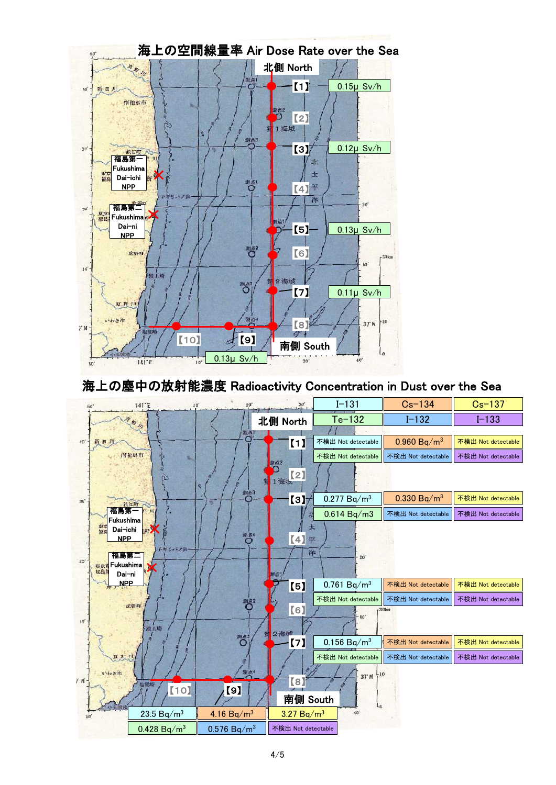

## 海上の塵中の放射能濃度 Radioactivity Concentration in Dust over the Sea

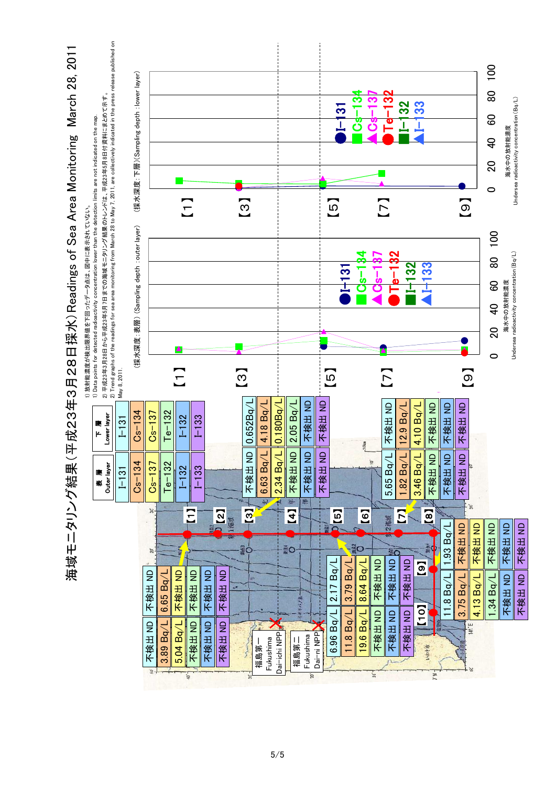

5/5